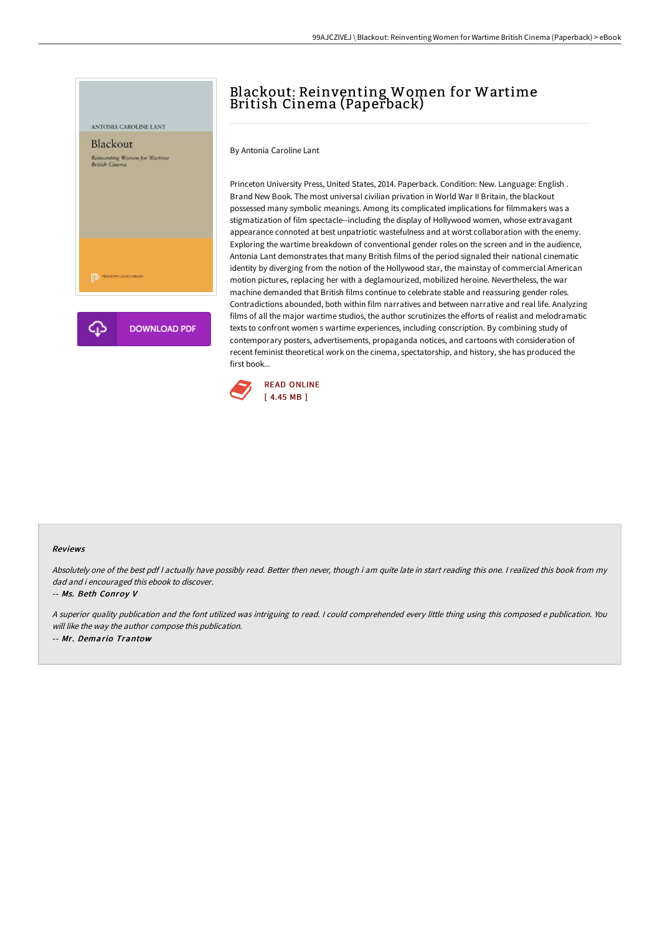

## Blackout: Reinventing Women for Wartime British Cinema (Paperback)

By Antonia Caroline Lant

Princeton University Press, United States, 2014. Paperback. Condition: New. Language: English . Brand New Book. The most universal civilian privation in World War II Britain, the blackout possessed many symbolic meanings. Among its complicated implications for filmmakers was a stigmatization of film spectacle--including the display of Hollywood women, whose extravagant appearance connoted at best unpatriotic wastefulness and at worst collaboration with the enemy. Exploring the wartime breakdown of conventional gender roles on the screen and in the audience, Antonia Lant demonstrates that many British films of the period signaled their national cinematic identity by diverging from the notion of the Hollywood star, the mainstay of commercial American motion pictures, replacing her with a deglamourized, mobilized heroine. Nevertheless, the war machine demanded that British films continue to celebrate stable and reassuring gender roles. Contradictions abounded, both within film narratives and between narrative and real life. Analyzing films of all the major wartime studios, the author scrutinizes the efforts of realist and melodramatic texts to confront women s wartime experiences, including conscription. By combining study of contemporary posters, advertisements, propaganda notices, and cartoons with consideration of recent feminist theoretical work on the cinema, spectatorship, and history, she has produced the first book...



## Reviews

Absolutely one of the best pdf I actually have possibly read. Better then never, though i am quite late in start reading this one. I realized this book from my dad and i encouraged this ebook to discover.

## -- Ms. Beth Conroy V

<sup>A</sup> superior quality publication and the font utilized was intriguing to read. <sup>I</sup> could comprehended every little thing using this composed <sup>e</sup> publication. You will like the way the author compose this publication. -- Mr. Demario Trantow